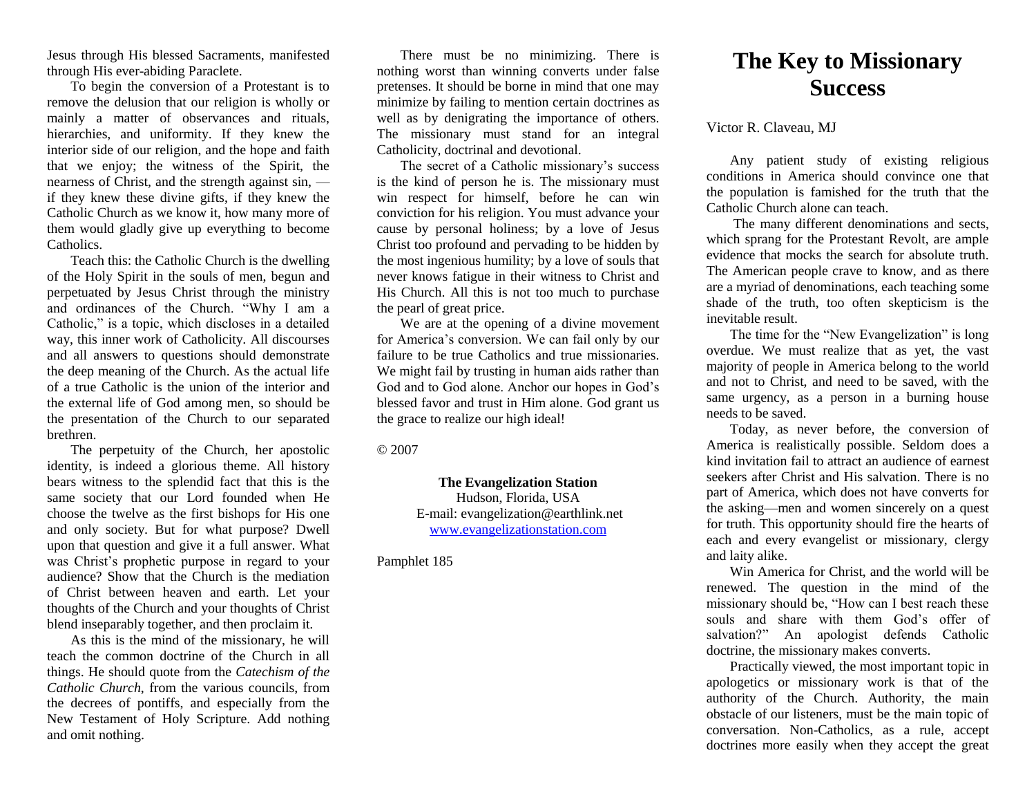Jesus through His blessed Sacraments, manifested through His ever-abiding Paraclete.

To begin the conversion of a Protestant is to remove the delusion that our religion is wholly or mainly a matter of observances and rituals, hierarchies, and uniformity. If they knew the interior side of our religion, and the hope and faith that we enjoy; the witness of the Spirit, the nearness of Christ, and the strength against sin, if they knew these divine gifts, if they knew the Catholic Church as we know it, how many more of them would gladly give up everything to become Catholics.

Teach this: the Catholic Church is the dwelling of the Holy Spirit in the souls of men, begun and perpetuated by Jesus Christ through the ministry and ordinances of the Church. "Why I am a Catholic," is a topic, which discloses in a detailed way, this inner work of Catholicity. All discourses and all answers to questions should demonstrate the deep meaning of the Church. As the actual life of a true Catholic is the union of the interior and the external life of God among men, so should be the presentation of the Church to our separated brethren.

The perpetuity of the Church, her apostolic identity, is indeed a glorious theme. All history bears witness to the splendid fact that this is the same society that our Lord founded when He choose the twelve as the first bishops for His one and only society. But for what purpose? Dwell upon that question and give it a full answer. What was Christ's prophetic purpose in regard to your audience? Show that the Church is the mediation of Christ between heaven and earth. Let your thoughts of the Church and your thoughts of Christ blend inseparably together, and then proclaim it.

As this is the mind of the missionary, he will teach the common doctrine of the Church in all things. He should quote from the *Catechism of the Catholic Church*, from the various councils, from the decrees of pontiffs, and especially from the New Testament of Holy Scripture. Add nothing and omit nothing.

There must be no minimizing. There is nothing worst than winning converts under false pretenses. It should be borne in mind that one may minimize by failing to mention certain doctrines as well as by denigrating the importance of others. The missionary must stand for an integral Catholicity, doctrinal and devotional.

The secret of a Catholic missionary's success is the kind of person he is. The missionary must win respect for himself, before he can win conviction for his religion. You must advance your cause by personal holiness; by a love of Jesus Christ too profound and pervading to be hidden by the most ingenious humility; by a love of souls that never knows fatigue in their witness to Christ and His Church. All this is not too much to purchase the pearl of great price.

We are at the opening of a divine movement for America's conversion. We can fail only by our failure to be true Catholics and true missionaries. We might fail by trusting in human aids rather than God and to God alone. Anchor our hopes in God's blessed favor and trust in Him alone. God grant us the grace to realize our high ideal!

© 2007

**The Evangelization Station** Hudson, Florida, USA E-mail: evangelization@earthlink.net [www.evangelizationstation.com](http://www.pjpiisoe.org/)

Pamphlet 185

## **The Key to Missionary Success**

## Victor R. Claveau, MJ

Any patient study of existing religious conditions in America should convince one that the population is famished for the truth that the Catholic Church alone can teach.

The many different denominations and sects, which sprang for the Protestant Revolt, are ample evidence that mocks the search for absolute truth. The American people crave to know, and as there are a myriad of denominations, each teaching some shade of the truth, too often skepticism is the inevitable result.

The time for the "New Evangelization" is long overdue. We must realize that as yet, the vast majority of people in America belong to the world and not to Christ, and need to be saved, with the same urgency, as a person in a burning house needs to be saved.

Today, as never before, the conversion of America is realistically possible. Seldom does a kind invitation fail to attract an audience of earnest seekers after Christ and His salvation. There is no part of America, which does not have converts for the asking—men and women sincerely on a quest for truth. This opportunity should fire the hearts of each and every evangelist or missionary, clergy and laity alike.

Win America for Christ, and the world will be renewed. The question in the mind of the missionary should be, "How can I best reach these souls and share with them God's offer of salvation?" An apologist defends Catholic doctrine, the missionary makes converts.

Practically viewed, the most important topic in apologetics or missionary work is that of the authority of the Church. Authority, the main obstacle of our listeners, must be the main topic of conversation. Non-Catholics, as a rule, accept doctrines more easily when they accept the great